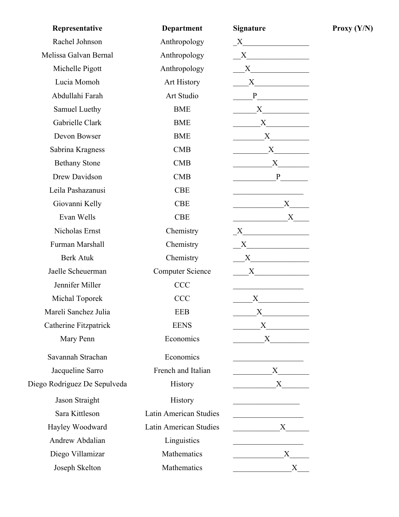| Representative               | <b>Department</b>       | <b>Signature</b>                                                                                                                                                                                                              |
|------------------------------|-------------------------|-------------------------------------------------------------------------------------------------------------------------------------------------------------------------------------------------------------------------------|
| Rachel Johnson               | Anthropology            |                                                                                                                                                                                                                               |
| Melissa Galvan Bernal        | Anthropology            | $X$ and $X$ and $X$ and $X$ and $X$ and $X$ and $X$ and $X$ and $X$ and $X$ and $X$ and $X$ and $X$ and $X$ and $X$ and $X$ and $X$ and $X$ and $X$ and $X$ and $X$ and $X$ and $X$ and $X$ and $X$ and $X$ and $X$ and $X$ a |
| Michelle Pigott              | Anthropology            | X                                                                                                                                                                                                                             |
| Lucia Momoh                  | Art History             | $X \qquad \qquad$                                                                                                                                                                                                             |
| Abdullahi Farah              | Art Studio              | P                                                                                                                                                                                                                             |
| Samuel Luethy                | <b>BME</b>              | X                                                                                                                                                                                                                             |
| Gabrielle Clark              | <b>BME</b>              |                                                                                                                                                                                                                               |
| Devon Bowser                 | <b>BME</b>              | $\mathbf X$                                                                                                                                                                                                                   |
| Sabrina Kragness             | CMB                     | X                                                                                                                                                                                                                             |
| <b>Bethany Stone</b>         | CMB                     | $X \sim$                                                                                                                                                                                                                      |
| Drew Davidson                | <b>CMB</b>              | $\mathbf{P}$                                                                                                                                                                                                                  |
| Leila Pashazanusi            | <b>CBE</b>              |                                                                                                                                                                                                                               |
| Giovanni Kelly               | <b>CBE</b>              | $\mathbf X$                                                                                                                                                                                                                   |
| Evan Wells                   | <b>CBE</b>              | X                                                                                                                                                                                                                             |
| Nicholas Ernst               | Chemistry               | $X$ and $X$ and $X$ and $X$ and $X$ and $X$ and $X$ and $X$ and $X$ and $X$ and $X$ and $X$ and $X$ and $X$ and $X$ and $X$ and $X$ and $X$ and $X$ and $X$ and $X$ and $X$ and $X$ and $X$ and $X$ and $X$ and $X$ and $X$ a |
| Furman Marshall              | Chemistry               | $X$ and $X$ and $X$ and $X$ and $X$ and $X$ and $X$ and $X$ and $X$ and $X$ and $X$ and $X$ and $X$ and $X$ and $X$ and $X$ and $X$ and $X$ and $X$ and $X$ and $X$ and $X$ and $X$ and $X$ and $X$ and $X$ and $X$ and $X$ a |
| <b>Berk Atuk</b>             | Chemistry               | $X$ and $X$ and $X$ and $X$ and $X$ and $X$ and $X$ and $X$ and $X$ and $X$ and $X$ and $X$ and $X$ and $X$ and $X$ and $X$ and $X$ and $X$ and $X$ and $X$ and $X$ and $X$ and $X$ and $X$ and $X$ and $X$ and $X$ and $X$ a |
| Jaelle Scheuerman            | <b>Computer Science</b> | X                                                                                                                                                                                                                             |
| Jennifer Miller              | <b>CCC</b>              |                                                                                                                                                                                                                               |
| Michal Toporek               | <b>CCC</b>              | $X \longrightarrow$                                                                                                                                                                                                           |
| Mareli Sanchez Julia         | <b>EEB</b>              | X                                                                                                                                                                                                                             |
| Catherine Fitzpatrick        | <b>EENS</b>             | $X \longrightarrow$                                                                                                                                                                                                           |
| Mary Penn                    | Economics               | $X \longrightarrow$                                                                                                                                                                                                           |
| Savannah Strachan            | Economics               |                                                                                                                                                                                                                               |
| Jacqueline Sarro             | French and Italian      |                                                                                                                                                                                                                               |
| Diego Rodriguez De Sepulveda | <b>History</b>          | $\mathbf X$                                                                                                                                                                                                                   |
| Jason Straight               | History                 | <u> 1980 - Johann Barbara, martin a</u>                                                                                                                                                                                       |
| Sara Kittleson               | Latin American Studies  |                                                                                                                                                                                                                               |
| Hayley Woodward              | Latin American Studies  | X                                                                                                                                                                                                                             |
| Andrew Abdalian              | Linguistics             |                                                                                                                                                                                                                               |
| Diego Villamizar             | Mathematics             | X                                                                                                                                                                                                                             |
| Joseph Skelton               | Mathematics             | $X_{\mathcal{E}}$                                                                                                                                                                                                             |

 $Proxy (Y/N)$